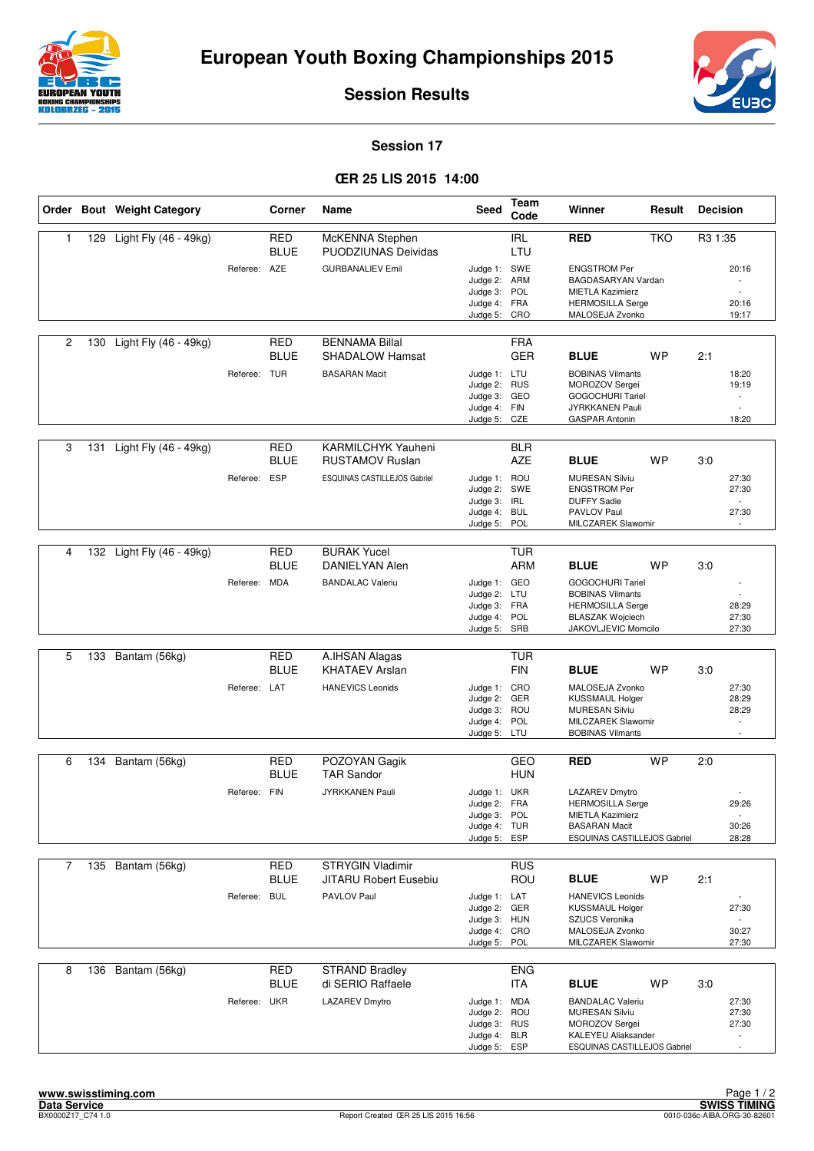



**Session Results**

## **Session 17**

## **ŒR 25 LIS 2015 14:00**

|                |     | Order Bout Weight Category |              | Corner                    | Name                                                | <b>Seed</b>                                                                  | Team<br>Code             | Winner                                                                                                                          | Result     | <b>Decision</b> |                                                     |
|----------------|-----|----------------------------|--------------|---------------------------|-----------------------------------------------------|------------------------------------------------------------------------------|--------------------------|---------------------------------------------------------------------------------------------------------------------------------|------------|-----------------|-----------------------------------------------------|
| 1              | 129 | Light Fly (46 - 49kg)      |              | <b>RED</b><br><b>BLUE</b> | McKENNA Stephen<br><b>PUODZIUNAS Deividas</b>       |                                                                              | <b>IRL</b><br>LTU        | <b>RED</b>                                                                                                                      | <b>TKO</b> | R3 1:35         |                                                     |
|                |     |                            | Referee: AZE |                           | <b>GURBANALIEV Emil</b>                             | Judge 1: SWE<br>Judge 2: ARM<br>Judge 3: POL<br>Judge 4: FRA<br>Judge 5: CRO |                          | <b>ENGSTROM Per</b><br>BAGDASARYAN Vardan<br><b>MIETLA Kazimierz</b><br><b>HERMOSILLA Serge</b><br>MALOSEJA Zvonko              |            |                 | 20:16<br>$\overline{\phantom{a}}$<br>20:16<br>19:17 |
| $\overline{2}$ |     | 130 Light Fly (46 - 49kg)  |              | <b>RED</b><br><b>BLUE</b> | <b>BENNAMA Billal</b><br><b>SHADALOW Hamsat</b>     |                                                                              | <b>FRA</b><br><b>GER</b> | <b>BLUE</b>                                                                                                                     | <b>WP</b>  | 2:1             |                                                     |
|                |     |                            | Referee: TUR |                           | <b>BASARAN Macit</b>                                | Judge 1: LTU<br>Judge 2: RUS<br>Judge 3: GEO<br>Judge 4:<br>Judge 5:         | FIN<br>CZE               | <b>BOBINAS Vilmants</b><br>MOROZOV Sergei<br><b>GOGOCHURI Tariel</b><br>JYRKKANEN Pauli<br><b>GASPAR Antonin</b>                |            |                 | 18:20<br>19:19<br>$\overline{\phantom{a}}$<br>18:20 |
| 3              | 131 | Light Fly (46 - 49kg)      |              | <b>RED</b><br><b>BLUE</b> | <b>KARMILCHYK Yauheni</b><br><b>RUSTAMOV Ruslan</b> |                                                                              | <b>BLR</b><br><b>AZE</b> | <b>BLUE</b>                                                                                                                     | WP         | 3.0             |                                                     |
|                |     |                            | Referee: ESP |                           | ESQUINAS CASTILLEJOS Gabriel                        | Judge 1: ROU<br>Judge 2: SWE<br>Judge 3:<br>Judge 4: BUL<br>Judge 5:         | <b>IRL</b><br>POL        | <b>MURESAN Silviu</b><br><b>ENGSTROM Per</b><br><b>DUFFY Sadie</b><br>PAVLOV Paul<br><b>MILCZAREK Slawomir</b>                  |            |                 | 27:30<br>27:30<br>27:30                             |
|                |     |                            |              |                           |                                                     |                                                                              |                          |                                                                                                                                 |            |                 |                                                     |
| 4              |     | 132 Light Fly (46 - 49kg)  |              | <b>RED</b><br><b>BLUE</b> | <b>BURAK Yucel</b><br>DANIELYAN Alen                |                                                                              | <b>TUR</b><br><b>ARM</b> | <b>BLUE</b>                                                                                                                     | <b>WP</b>  | 3.0             |                                                     |
|                |     |                            | Referee: MDA |                           | <b>BANDALAC Valeriu</b>                             | Judge 1: GEO<br>Judge 2: LTU<br>Judge 3: FRA<br>Judge 4: POL<br>Judge 5: SRB |                          | <b>GOGOCHURI Tariel</b><br><b>BOBINAS Vilmants</b><br><b>HERMOSILLA Serge</b><br><b>BLASZAK Wojciech</b><br>JAKOVLJEVIC Momcilo |            |                 | 28:29<br>27:30<br>27:30                             |
|                |     |                            |              |                           |                                                     |                                                                              |                          |                                                                                                                                 |            |                 |                                                     |
| 5              | 133 | Bantam (56kg)              |              | <b>RED</b><br><b>BLUE</b> | A.IHSAN Alagas<br><b>KHATAEV Arslan</b>             |                                                                              | TUR<br><b>FIN</b>        | <b>BLUE</b>                                                                                                                     | <b>WP</b>  | 3:0             |                                                     |
|                |     |                            | Referee: LAT |                           | <b>HANEVICS Leonids</b>                             | Judge 1: CRO<br>Judge 2:<br>Judge 3: ROU<br>Judge 4: POL<br>Judge 5: LTU     | GER                      | MALOSEJA Zvonko<br><b>KUSSMAUL Holger</b><br><b>MURESAN Silviu</b><br>MILCZAREK Slawomir<br><b>BOBINAS Vilmants</b>             |            |                 | 27:30<br>28:29<br>28:29<br>$\overline{\phantom{a}}$ |
| 6              | 134 | Bantam (56kg)              |              | <b>RED</b><br><b>BLUE</b> | POZOYAN Gagik<br><b>TAR Sandor</b>                  |                                                                              | GEO<br><b>HUN</b>        | <b>RED</b>                                                                                                                      | <b>WP</b>  | 2:0             |                                                     |
|                |     |                            | Referee: FIN |                           | <b>JYRKKANEN Pauli</b>                              | Judge 1: UKR<br>Judge 2: FRA<br>Judge 3: POL<br>Judge 4: TUR<br>Judge 5:     | <b>ESP</b>               | LAZAREV Dmytro<br><b>HERMOSILLA Serge</b><br><b>MIETLA Kazimierz</b><br><b>BASARAN Macit</b><br>ESQUINAS CASTILLEJOS Gabriel    |            |                 | 29:26<br>$\overline{\phantom{a}}$<br>30:26<br>28:28 |
| 7              | 135 | Bantam (56kg)              |              | <b>RED</b>                | <b>STRYGIN Vladimir</b>                             |                                                                              | <b>RUS</b>               |                                                                                                                                 |            |                 |                                                     |
|                |     |                            |              | BLUE                      | <b>JITARU Robert Eusebiu</b>                        |                                                                              | ROU                      | <b>BLUE</b>                                                                                                                     | WP         | 2:1             |                                                     |
|                |     |                            | Referee: BUL |                           | PAVLOV Paul                                         | Judge 1: LAT<br>Judge 2: GER<br>Judge 3: HUN<br>Judge 4: CRO<br>Judge 5:     | POL                      | <b>HANEVICS Leonids</b><br><b>KUSSMAUL Holger</b><br>SZUCS Veronika<br>MALOSEJA Zvonko<br>MILCZAREK Slawomir                    |            |                 | 27:30<br>30:27<br>27:30                             |
| 8              |     | 136 Bantam (56kg)          |              | <b>RED</b><br><b>BLUE</b> | <b>STRAND Bradley</b><br>di SERIO Raffaele          |                                                                              | <b>ENG</b><br><b>ITA</b> | <b>BLUE</b>                                                                                                                     | <b>WP</b>  | 3:0             |                                                     |
|                |     |                            | Referee: UKR |                           | <b>LAZAREV Dmytro</b>                               | Judge 1: MDA<br>Judge 2:<br>Judge 3: RUS<br>Judge 4: BLR<br>Judge 5: ESP     | ROU                      | <b>BANDALAC Valeriu</b><br>MURESAN Silviu<br>MOROZOV Sergei<br>KALEYEU Aliaksander<br>ESQUINAS CASTILLEJOS Gabriel              |            |                 | 27:30<br>27:30<br>27:30                             |